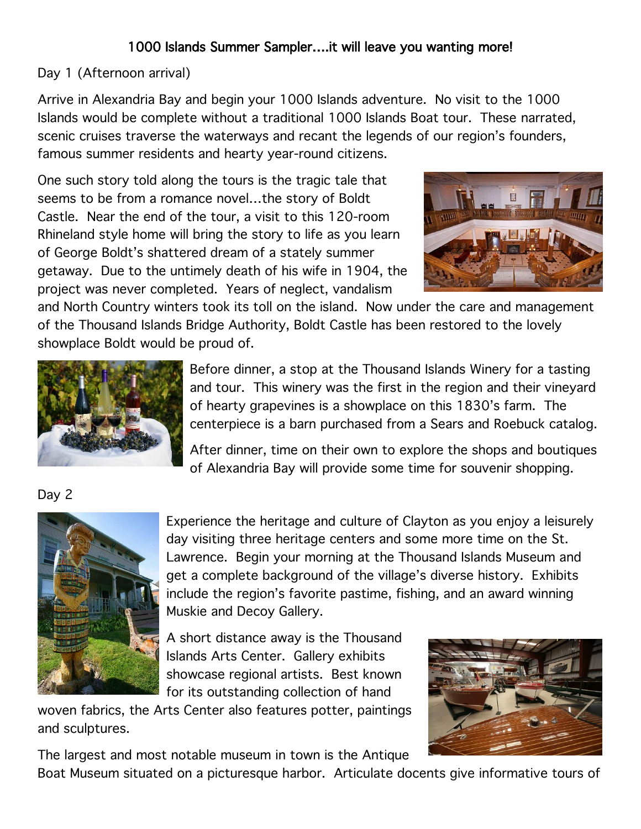## 1000 Islands Summer Sampler….it will leave you wanting more!

## Day 1 (Afternoon arrival)

Arrive in Alexandria Bay and begin your 1000 Islands adventure. No visit to the 1000 Islands would be complete without a traditional 1000 Islands Boat tour. These narrated, scenic cruises traverse the waterways and recant the legends of our region's founders, famous summer residents and hearty year-round citizens.

One such story told along the tours is the tragic tale that seems to be from a romance novel…the story of Boldt Castle. Near the end of the tour, a visit to this 120-room Rhineland style home will bring the story to life as you learn of George Boldt's shattered dream of a stately summer getaway. Due to the untimely death of his wife in 1904, the project was never completed. Years of neglect, vandalism



and North Country winters took its toll on the island. Now under the care and management of the Thousand Islands Bridge Authority, Boldt Castle has been restored to the lovely showplace Boldt would be proud of.



Before dinner, a stop at the Thousand Islands Winery for a tasting and tour. This winery was the first in the region and their vineyard of hearty grapevines is a showplace on this 1830's farm. The centerpiece is a barn purchased from a Sears and Roebuck catalog.

After dinner, time on their own to explore the shops and boutiques of Alexandria Bay will provide some time for souvenir shopping.

## Day 2



Experience the heritage and culture of Clayton as you enjoy a leisurely day visiting three heritage centers and some more time on the St. Lawrence. Begin your morning at the Thousand Islands Museum and get a complete background of the village's diverse history. Exhibits include the region's favorite pastime, fishing, and an award winning Muskie and Decoy Gallery.

A short distance away is the Thousand Islands Arts Center. Gallery exhibits showcase regional artists. Best known for its outstanding collection of hand

woven fabrics, the Arts Center also features potter, paintings and sculptures.



The largest and most notable museum in town is the Antique

Boat Museum situated on a picturesque harbor. Articulate docents give informative tours of